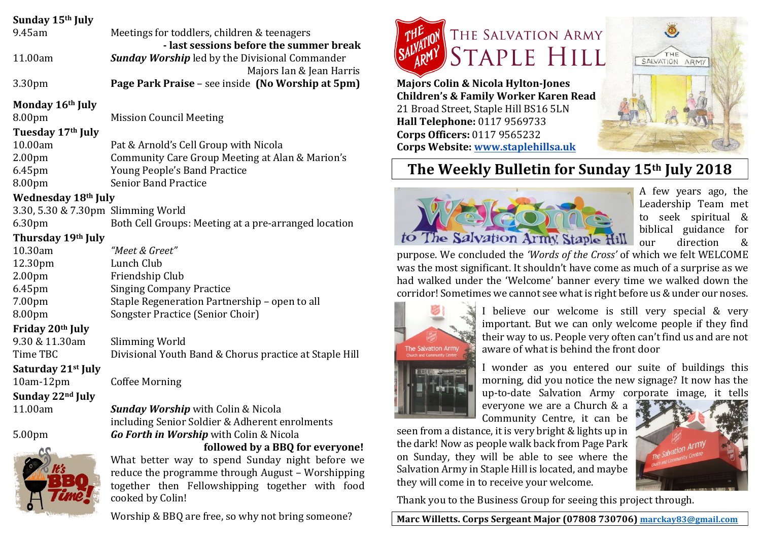| Sunday 15th July                   |                                                                                  |                                                                              |
|------------------------------------|----------------------------------------------------------------------------------|------------------------------------------------------------------------------|
| 9.45am                             | Meetings for toddlers, children & teenagers                                      | THE SALVATION ARMY                                                           |
|                                    | - last sessions before the summer break                                          |                                                                              |
| 11.00am                            | <b>Sunday Worship</b> led by the Divisional Commander                            | STAPLE HILL<br>SALVATION ARMY                                                |
| 3.30pm                             | Majors Ian & Jean Harris<br>Page Park Praise - see inside (No Worship at 5pm)    | <b>Majors Colin &amp; Nicola Hylton-Jones</b>                                |
|                                    |                                                                                  | <b>Children's &amp; Family Worker Karen Read</b>                             |
| Monday 16th July                   |                                                                                  | 21 Broad Street, Staple Hill BS16 5LN                                        |
| 8.00pm                             | <b>Mission Council Meeting</b>                                                   | Hall Telephone: 0117 9569733                                                 |
| Tuesday 17th July                  |                                                                                  | Corps Officers: 0117 9565232                                                 |
| 10.00am                            | Pat & Arnold's Cell Group with Nicola                                            | Corps Website: www.staplehillsa.uk                                           |
| 2.00 <sub>pm</sub>                 | <b>Community Care Group Meeting at Alan &amp; Marion's</b>                       |                                                                              |
| 6.45pm                             | Young People's Band Practice                                                     | The Weekly Bulletin for Sunday 15th July 2018                                |
| 8.00pm                             | <b>Senior Band Practice</b>                                                      | A few years ago, the                                                         |
| <b>Wednesday 18th July</b>         |                                                                                  | Leadership Team met                                                          |
| 3.30, 5.30 & 7.30pm Slimming World |                                                                                  | to seek spiritual &                                                          |
| 6.30pm                             | Both Cell Groups: Meeting at a pre-arranged location                             | biblical guidance for                                                        |
| Thursday 19th July                 |                                                                                  | to The Salvation Army, Staple Hill<br>direction<br>&<br>our                  |
| 10.30am                            | "Meet & Greet"                                                                   | purpose. We concluded the 'Words of the Cross' of which we felt WELCOME      |
| 12.30pm                            | Lunch Club                                                                       | was the most significant. It shouldn't have come as much of a surprise as we |
| 2.00 <sub>pm</sub>                 | Friendship Club                                                                  | had walked under the 'Welcome' banner every time we walked down the          |
| 6.45pm<br>7.00pm                   | <b>Singing Company Practice</b><br>Staple Regeneration Partnership - open to all | corridor! Sometimes we cannot see what is right before us & under our noses. |
| 8.00pm                             | Songster Practice (Senior Choir)                                                 | believe our welcome is still very special & very                             |
| Friday 20th July                   |                                                                                  | important. But we can only welcome people if they find                       |
| 9.30 & 11.30am                     | Slimming World                                                                   | their way to us. People very often can't find us and are not                 |
| Time TBC                           | Divisional Youth Band & Chorus practice at Staple Hill                           | aware of what is behind the front door<br>ion Army                           |
| Saturday 21 <sup>st</sup> July     |                                                                                  | I wonder as you entered our suite of buildings this                          |
| $10am-12pm$                        | <b>Coffee Morning</b>                                                            | morning, did you notice the new signage? It now has the                      |
| Sunday 22nd July                   |                                                                                  | up-to-date Salvation Army corporate image, it tells                          |
| 11.00am                            | <b>Sunday Worship</b> with Colin & Nicola                                        | everyone we are a Church & a                                                 |
|                                    | including Senior Soldier & Adherent enrolments                                   | Community Centre, it can be                                                  |
| 5.00pm                             | Go Forth in Worship with Colin & Nicola                                          | seen from a distance, it is very bright & lights up in                       |
|                                    | followed by a BBQ for everyone!                                                  | the dark! Now as people walk back from Page Park<br>The Salvation Army       |
|                                    | What better way to spend Sunday night before we                                  | on Sunday, they will be able to see where the                                |
|                                    | reduce the programme through August - Worshipping                                | Salvation Army in Staple Hill is located, and maybe                          |
|                                    | together then Fellowshipping together with food                                  | they will come in to receive your welcome.                                   |
|                                    | cooked by Colin!                                                                 | Thank you to the Business Group for seeing this project through.             |
|                                    | Worship & BBQ are free, so why not bring someone?                                | Marc Willetts. Corps Sergeant Major (07808 730706) marckay83@gmail.com       |